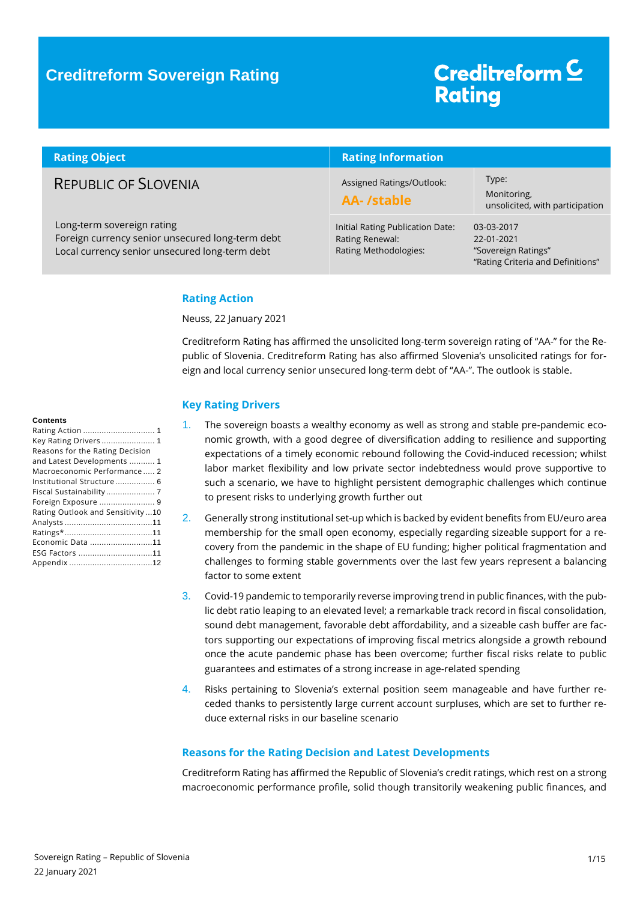### **Creditreform Sovereign Rating**

# Creditreform<sup>C</sup> **Rating**

| <b>Rating Object</b>                                                                                                             | <b>Rating Information</b>                                                    |                                                                                      |  |
|----------------------------------------------------------------------------------------------------------------------------------|------------------------------------------------------------------------------|--------------------------------------------------------------------------------------|--|
| <b>REPUBLIC OF SLOVENIA</b>                                                                                                      | Assigned Ratings/Outlook:<br>AA-/stable                                      | Type:<br>Monitoring,<br>unsolicited, with participation                              |  |
| Long-term sovereign rating<br>Foreign currency senior unsecured long-term debt<br>Local currency senior unsecured long-term debt | Initial Rating Publication Date:<br>Rating Renewal:<br>Rating Methodologies: | 03-03-2017<br>22-01-2021<br>"Sovereign Ratings"<br>"Rating Criteria and Definitions" |  |

#### <span id="page-0-0"></span>**Rating Action**

Neuss, 22 January 2021

Creditreform Rating has affirmed the unsolicited long-term sovereign rating of "AA-" for the Republic of Slovenia. Creditreform Rating has also affirmed Slovenia's unsolicited ratings for foreign and local currency senior unsecured long-term debt of "AA-". The outlook is stable.

#### <span id="page-0-1"></span>**Key Rating Drivers**

- 1. The sovereign boasts a wealthy economy as well as strong and stable pre-pandemic economic growth, with a good degree of diversification adding to resilience and supporting expectations of a timely economic rebound following the Covid-induced recession; whilst labor market flexibility and low private sector indebtedness would prove supportive to such a scenario, we have to highlight persistent demographic challenges which continue to present risks to underlying growth further out
- 2. Generally strong institutional set-up which is backed by evident benefits from EU/euro area membership for the small open economy, especially regarding sizeable support for a recovery from the pandemic in the shape of EU funding; higher political fragmentation and challenges to forming stable governments over the last few years represent a balancing factor to some extent
- 3. Covid-19 pandemic to temporarily reverse improving trend in public finances, with the public debt ratio leaping to an elevated level; a remarkable track record in fiscal consolidation, sound debt management, favorable debt affordability, and a sizeable cash buffer are factors supporting our expectations of improving fiscal metrics alongside a growth rebound once the acute pandemic phase has been overcome; further fiscal risks relate to public guarantees and estimates of a strong increase in age-related spending
- 4. Risks pertaining to Slovenia's external position seem manageable and have further receded thanks to persistently large current account surpluses, which are set to further reduce external risks in our baseline scenario

#### <span id="page-0-2"></span>**Reasons for the Rating Decision and Latest Developments**

Creditreform Rating has affirmed the Republic of Slovenia's credit ratings, which rest on a strong macroeconomic performance profile, solid though transitorily weakening public finances, and

#### **Contents**

| Rating Action  1                 |
|----------------------------------|
| Key Rating Drivers 1             |
| Reasons for the Rating Decision  |
| and Latest Developments  1       |
| Macroeconomic Performance 2      |
| Institutional Structure 6        |
|                                  |
| Foreign Exposure  9              |
| Rating Outlook and Sensitivity10 |
|                                  |
|                                  |
| Economic Data 11                 |
|                                  |
|                                  |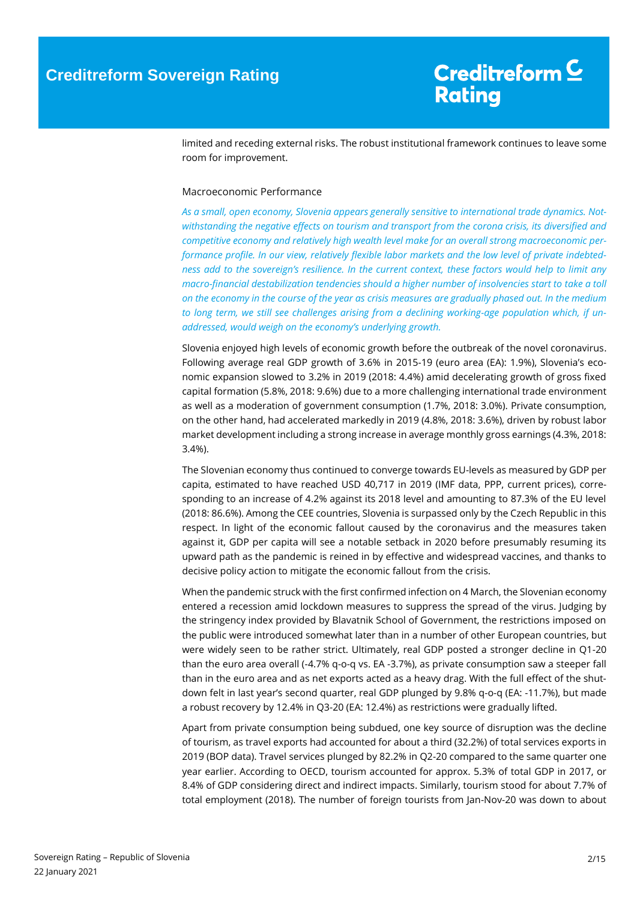limited and receding external risks. The robust institutional framework continues to leave some room for improvement.

#### <span id="page-1-0"></span>Macroeconomic Performance

*As a small, open economy, Slovenia appears generally sensitive to international trade dynamics. Notwithstanding the negative effects on tourism and transport from the corona crisis, its diversified and competitive economy and relatively high wealth level make for an overall strong macroeconomic performance profile. In our view, relatively flexible labor markets and the low level of private indebtedness add to the sovereign's resilience. In the current context, these factors would help to limit any macro-financial destabilization tendencies should a higher number of insolvencies start to take a toll on the economy in the course of the year as crisis measures are gradually phased out. In the medium to long term, we still see challenges arising from a declining working-age population which, if unaddressed, would weigh on the economy's underlying growth.*

Slovenia enjoyed high levels of economic growth before the outbreak of the novel coronavirus. Following average real GDP growth of 3.6% in 2015-19 (euro area (EA): 1.9%), Slovenia's economic expansion slowed to 3.2% in 2019 (2018: 4.4%) amid decelerating growth of gross fixed capital formation (5.8%, 2018: 9.6%) due to a more challenging international trade environment as well as a moderation of government consumption (1.7%, 2018: 3.0%). Private consumption, on the other hand, had accelerated markedly in 2019 (4.8%, 2018: 3.6%), driven by robust labor market development including a strong increase in average monthly gross earnings (4.3%, 2018: 3.4%).

The Slovenian economy thus continued to converge towards EU-levels as measured by GDP per capita, estimated to have reached USD 40,717 in 2019 (IMF data, PPP, current prices), corresponding to an increase of 4.2% against its 2018 level and amounting to 87.3% of the EU level (2018: 86.6%). Among the CEE countries, Slovenia is surpassed only by the Czech Republic in this respect. In light of the economic fallout caused by the coronavirus and the measures taken against it, GDP per capita will see a notable setback in 2020 before presumably resuming its upward path as the pandemic is reined in by effective and widespread vaccines, and thanks to decisive policy action to mitigate the economic fallout from the crisis.

When the pandemic struck with the first confirmed infection on 4 March, the Slovenian economy entered a recession amid lockdown measures to suppress the spread of the virus. Judging by the stringency index provided by Blavatnik School of Government, the restrictions imposed on the public were introduced somewhat later than in a number of other European countries, but were widely seen to be rather strict. Ultimately, real GDP posted a stronger decline in Q1-20 than the euro area overall (-4.7% q-o-q vs. EA -3.7%), as private consumption saw a steeper fall than in the euro area and as net exports acted as a heavy drag. With the full effect of the shutdown felt in last year's second quarter, real GDP plunged by 9.8% q-o-q (EA: -11.7%), but made a robust recovery by 12.4% in Q3-20 (EA: 12.4%) as restrictions were gradually lifted.

Apart from private consumption being subdued, one key source of disruption was the decline of tourism, as travel exports had accounted for about a third (32.2%) of total services exports in 2019 (BOP data). Travel services plunged by 82.2% in Q2-20 compared to the same quarter one year earlier. According to OECD, tourism accounted for approx. 5.3% of total GDP in 2017, or 8.4% of GDP considering direct and indirect impacts. Similarly, tourism stood for about 7.7% of total employment (2018). The number of foreign tourists from Jan-Nov-20 was down to about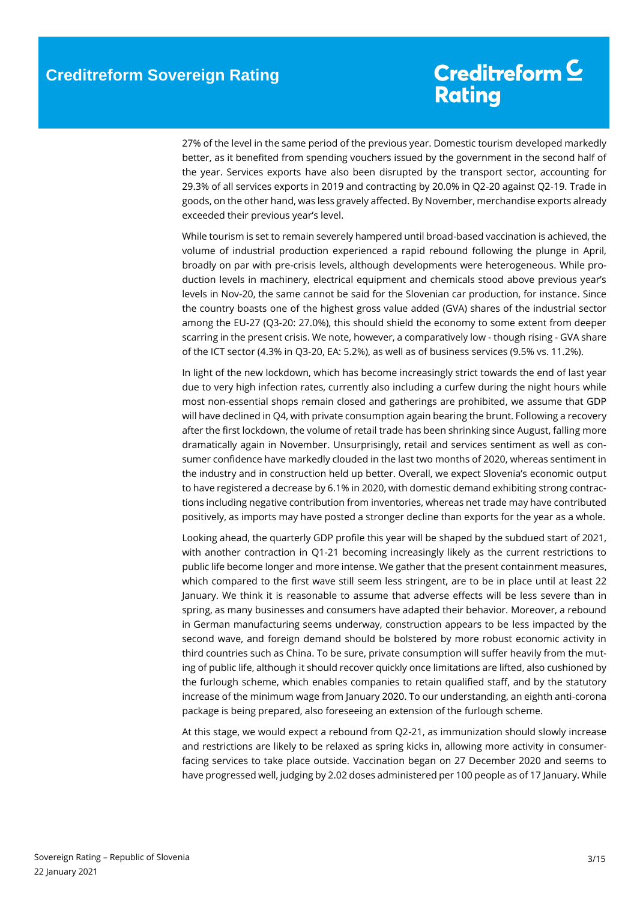27% of the level in the same period of the previous year. Domestic tourism developed markedly better, as it benefited from spending vouchers issued by the government in the second half of the year. Services exports have also been disrupted by the transport sector, accounting for 29.3% of all services exports in 2019 and contracting by 20.0% in Q2-20 against Q2-19. Trade in goods, on the other hand, was less gravely affected. By November, merchandise exports already exceeded their previous year's level.

While tourism is set to remain severely hampered until broad-based vaccination is achieved, the volume of industrial production experienced a rapid rebound following the plunge in April, broadly on par with pre-crisis levels, although developments were heterogeneous. While production levels in machinery, electrical equipment and chemicals stood above previous year's levels in Nov-20, the same cannot be said for the Slovenian car production, for instance. Since the country boasts one of the highest gross value added (GVA) shares of the industrial sector among the EU-27 (Q3-20: 27.0%), this should shield the economy to some extent from deeper scarring in the present crisis. We note, however, a comparatively low - though rising - GVA share of the ICT sector (4.3% in Q3-20, EA: 5.2%), as well as of business services (9.5% vs. 11.2%).

In light of the new lockdown, which has become increasingly strict towards the end of last year due to very high infection rates, currently also including a curfew during the night hours while most non-essential shops remain closed and gatherings are prohibited, we assume that GDP will have declined in Q4, with private consumption again bearing the brunt. Following a recovery after the first lockdown, the volume of retail trade has been shrinking since August, falling more dramatically again in November. Unsurprisingly, retail and services sentiment as well as consumer confidence have markedly clouded in the last two months of 2020, whereas sentiment in the industry and in construction held up better. Overall, we expect Slovenia's economic output to have registered a decrease by 6.1% in 2020, with domestic demand exhibiting strong contractions including negative contribution from inventories, whereas net trade may have contributed positively, as imports may have posted a stronger decline than exports for the year as a whole.

Looking ahead, the quarterly GDP profile this year will be shaped by the subdued start of 2021, with another contraction in Q1-21 becoming increasingly likely as the current restrictions to public life become longer and more intense. We gather that the present containment measures, which compared to the first wave still seem less stringent, are to be in place until at least 22 January. We think it is reasonable to assume that adverse effects will be less severe than in spring, as many businesses and consumers have adapted their behavior. Moreover, a rebound in German manufacturing seems underway, construction appears to be less impacted by the second wave, and foreign demand should be bolstered by more robust economic activity in third countries such as China. To be sure, private consumption will suffer heavily from the muting of public life, although it should recover quickly once limitations are lifted, also cushioned by the furlough scheme, which enables companies to retain qualified staff, and by the statutory increase of the minimum wage from January 2020. To our understanding, an eighth anti-corona package is being prepared, also foreseeing an extension of the furlough scheme.

At this stage, we would expect a rebound from Q2-21, as immunization should slowly increase and restrictions are likely to be relaxed as spring kicks in, allowing more activity in consumerfacing services to take place outside. Vaccination began on 27 December 2020 and seems to have progressed well, judging by 2.02 doses administered per 100 people as of 17 January. While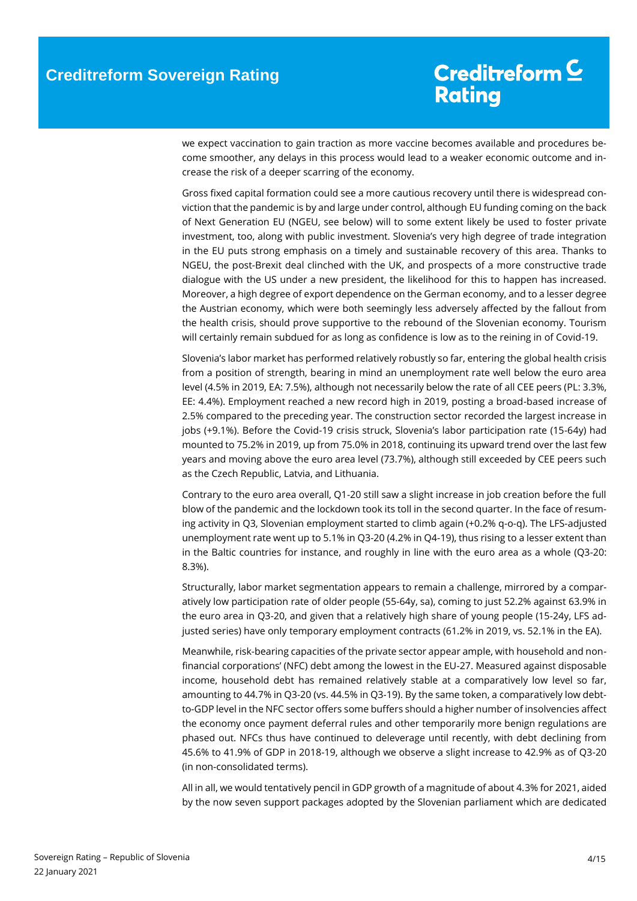we expect vaccination to gain traction as more vaccine becomes available and procedures become smoother, any delays in this process would lead to a weaker economic outcome and increase the risk of a deeper scarring of the economy.

Gross fixed capital formation could see a more cautious recovery until there is widespread conviction that the pandemic is by and large under control, although EU funding coming on the back of Next Generation EU (NGEU, see below) will to some extent likely be used to foster private investment, too, along with public investment. Slovenia's very high degree of trade integration in the EU puts strong emphasis on a timely and sustainable recovery of this area. Thanks to NGEU, the post-Brexit deal clinched with the UK, and prospects of a more constructive trade dialogue with the US under a new president, the likelihood for this to happen has increased. Moreover, a high degree of export dependence on the German economy, and to a lesser degree the Austrian economy, which were both seemingly less adversely affected by the fallout from the health crisis, should prove supportive to the rebound of the Slovenian economy. Tourism will certainly remain subdued for as long as confidence is low as to the reining in of Covid-19.

Slovenia's labor market has performed relatively robustly so far, entering the global health crisis from a position of strength, bearing in mind an unemployment rate well below the euro area level (4.5% in 2019, EA: 7.5%), although not necessarily below the rate of all CEE peers (PL: 3.3%, EE: 4.4%). Employment reached a new record high in 2019, posting a broad-based increase of 2.5% compared to the preceding year. The construction sector recorded the largest increase in jobs (+9.1%). Before the Covid-19 crisis struck, Slovenia's labor participation rate (15-64y) had mounted to 75.2% in 2019, up from 75.0% in 2018, continuing its upward trend over the last few years and moving above the euro area level (73.7%), although still exceeded by CEE peers such as the Czech Republic, Latvia, and Lithuania.

Contrary to the euro area overall, Q1-20 still saw a slight increase in job creation before the full blow of the pandemic and the lockdown took its toll in the second quarter. In the face of resuming activity in Q3, Slovenian employment started to climb again (+0.2% q-o-q). The LFS-adjusted unemployment rate went up to 5.1% in Q3-20 (4.2% in Q4-19), thus rising to a lesser extent than in the Baltic countries for instance, and roughly in line with the euro area as a whole (Q3-20: 8.3%).

Structurally, labor market segmentation appears to remain a challenge, mirrored by a comparatively low participation rate of older people (55-64y, sa), coming to just 52.2% against 63.9% in the euro area in Q3-20, and given that a relatively high share of young people (15-24y, LFS adjusted series) have only temporary employment contracts (61.2% in 2019, vs. 52.1% in the EA).

Meanwhile, risk-bearing capacities of the private sector appear ample, with household and nonfinancial corporations' (NFC) debt among the lowest in the EU-27. Measured against disposable income, household debt has remained relatively stable at a comparatively low level so far, amounting to 44.7% in Q3-20 (vs. 44.5% in Q3-19). By the same token, a comparatively low debtto-GDP level in the NFC sector offers some buffers should a higher number of insolvencies affect the economy once payment deferral rules and other temporarily more benign regulations are phased out. NFCs thus have continued to deleverage until recently, with debt declining from 45.6% to 41.9% of GDP in 2018-19, although we observe a slight increase to 42.9% as of Q3-20 (in non-consolidated terms).

All in all, we would tentatively pencil in GDP growth of a magnitude of about 4.3% for 2021, aided by the now seven support packages adopted by the Slovenian parliament which are dedicated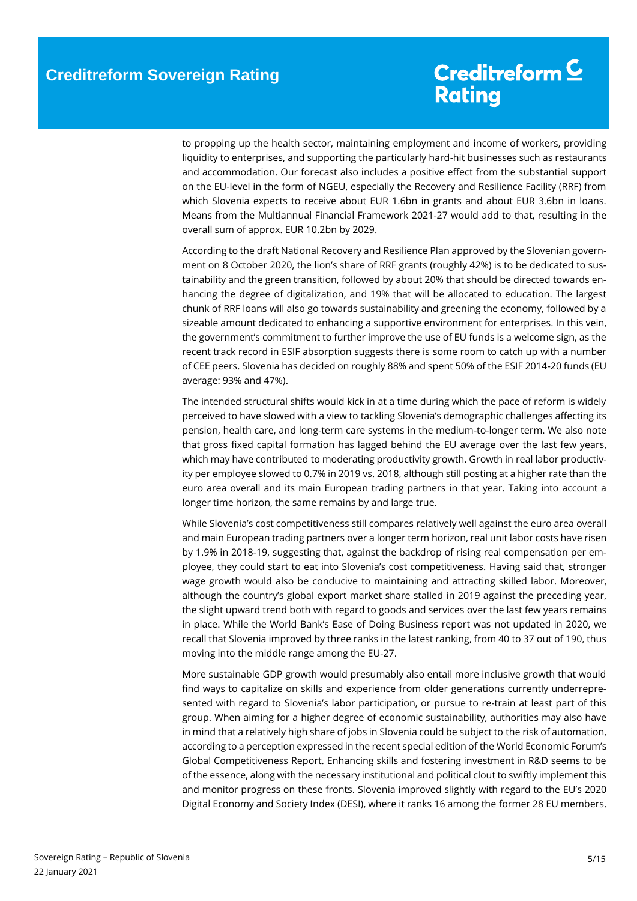to propping up the health sector, maintaining employment and income of workers, providing liquidity to enterprises, and supporting the particularly hard-hit businesses such as restaurants and accommodation. Our forecast also includes a positive effect from the substantial support on the EU-level in the form of NGEU, especially the Recovery and Resilience Facility (RRF) from which Slovenia expects to receive about EUR 1.6bn in grants and about EUR 3.6bn in loans. Means from the Multiannual Financial Framework 2021-27 would add to that, resulting in the overall sum of approx. EUR 10.2bn by 2029.

According to the draft National Recovery and Resilience Plan approved by the Slovenian government on 8 October 2020, the lion's share of RRF grants (roughly 42%) is to be dedicated to sustainability and the green transition, followed by about 20% that should be directed towards enhancing the degree of digitalization, and 19% that will be allocated to education. The largest chunk of RRF loans will also go towards sustainability and greening the economy, followed by a sizeable amount dedicated to enhancing a supportive environment for enterprises. In this vein, the government's commitment to further improve the use of EU funds is a welcome sign, as the recent track record in ESIF absorption suggests there is some room to catch up with a number of CEE peers. Slovenia has decided on roughly 88% and spent 50% of the ESIF 2014-20 funds (EU average: 93% and 47%).

The intended structural shifts would kick in at a time during which the pace of reform is widely perceived to have slowed with a view to tackling Slovenia's demographic challenges affecting its pension, health care, and long-term care systems in the medium-to-longer term. We also note that gross fixed capital formation has lagged behind the EU average over the last few years, which may have contributed to moderating productivity growth. Growth in real labor productivity per employee slowed to 0.7% in 2019 vs. 2018, although still posting at a higher rate than the euro area overall and its main European trading partners in that year. Taking into account a longer time horizon, the same remains by and large true.

While Slovenia's cost competitiveness still compares relatively well against the euro area overall and main European trading partners over a longer term horizon, real unit labor costs have risen by 1.9% in 2018-19, suggesting that, against the backdrop of rising real compensation per employee, they could start to eat into Slovenia's cost competitiveness. Having said that, stronger wage growth would also be conducive to maintaining and attracting skilled labor. Moreover, although the country's global export market share stalled in 2019 against the preceding year, the slight upward trend both with regard to goods and services over the last few years remains in place. While the World Bank's Ease of Doing Business report was not updated in 2020, we recall that Slovenia improved by three ranks in the latest ranking, from 40 to 37 out of 190, thus moving into the middle range among the EU-27.

More sustainable GDP growth would presumably also entail more inclusive growth that would find ways to capitalize on skills and experience from older generations currently underrepresented with regard to Slovenia's labor participation, or pursue to re-train at least part of this group. When aiming for a higher degree of economic sustainability, authorities may also have in mind that a relatively high share of jobs in Slovenia could be subject to the risk of automation, according to a perception expressed in the recent special edition of the World Economic Forum's Global Competitiveness Report. Enhancing skills and fostering investment in R&D seems to be of the essence, along with the necessary institutional and political clout to swiftly implement this and monitor progress on these fronts. Slovenia improved slightly with regard to the EU's 2020 Digital Economy and Society Index (DESI), where it ranks 16 among the former 28 EU members.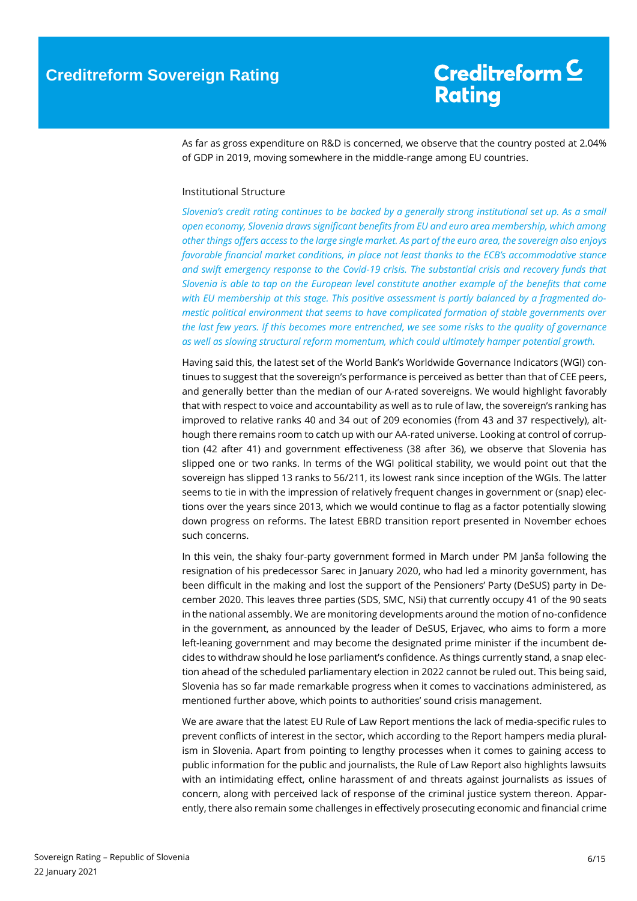As far as gross expenditure on R&D is concerned, we observe that the country posted at 2.04% of GDP in 2019, moving somewhere in the middle-range among EU countries.

#### <span id="page-5-0"></span>Institutional Structure

*Slovenia's credit rating continues to be backed by a generally strong institutional set up. As a small open economy, Slovenia draws significant benefits from EU and euro area membership, which among other things offers access to the large single market. As part of the euro area, the sovereign also enjoys favorable financial market conditions, in place not least thanks to the ECB's accommodative stance and swift emergency response to the Covid-19 crisis. The substantial crisis and recovery funds that Slovenia is able to tap on the European level constitute another example of the benefits that come with EU membership at this stage. This positive assessment is partly balanced by a fragmented domestic political environment that seems to have complicated formation of stable governments over the last few years. If this becomes more entrenched, we see some risks to the quality of governance as well as slowing structural reform momentum, which could ultimately hamper potential growth.*

Having said this, the latest set of the World Bank's Worldwide Governance Indicators (WGI) continues to suggest that the sovereign's performance is perceived as better than that of CEE peers, and generally better than the median of our A-rated sovereigns. We would highlight favorably that with respect to voice and accountability as well as to rule of law, the sovereign's ranking has improved to relative ranks 40 and 34 out of 209 economies (from 43 and 37 respectively), although there remains room to catch up with our AA-rated universe. Looking at control of corruption (42 after 41) and government effectiveness (38 after 36), we observe that Slovenia has slipped one or two ranks. In terms of the WGI political stability, we would point out that the sovereign has slipped 13 ranks to 56/211, its lowest rank since inception of the WGIs. The latter seems to tie in with the impression of relatively frequent changes in government or (snap) elections over the years since 2013, which we would continue to flag as a factor potentially slowing down progress on reforms. The latest EBRD transition report presented in November echoes such concerns.

In this vein, the shaky four-party government formed in March under PM Janša following the resignation of his predecessor Sarec in January 2020, who had led a minority government, has been difficult in the making and lost the support of the Pensioners' Party (DeSUS) party in December 2020. This leaves three parties (SDS, SMC, NSi) that currently occupy 41 of the 90 seats in the national assembly. We are monitoring developments around the motion of no-confidence in the government, as announced by the leader of DeSUS, Erjavec, who aims to form a more left-leaning government and may become the designated prime minister if the incumbent decides to withdraw should he lose parliament's confidence. As things currently stand, a snap election ahead of the scheduled parliamentary election in 2022 cannot be ruled out. This being said, Slovenia has so far made remarkable progress when it comes to vaccinations administered, as mentioned further above, which points to authorities' sound crisis management.

We are aware that the latest EU Rule of Law Report mentions the lack of media-specific rules to prevent conflicts of interest in the sector, which according to the Report hampers media pluralism in Slovenia. Apart from pointing to lengthy processes when it comes to gaining access to public information for the public and journalists, the Rule of Law Report also highlights lawsuits with an intimidating effect, online harassment of and threats against journalists as issues of concern, along with perceived lack of response of the criminal justice system thereon. Apparently, there also remain some challenges in effectively prosecuting economic and financial crime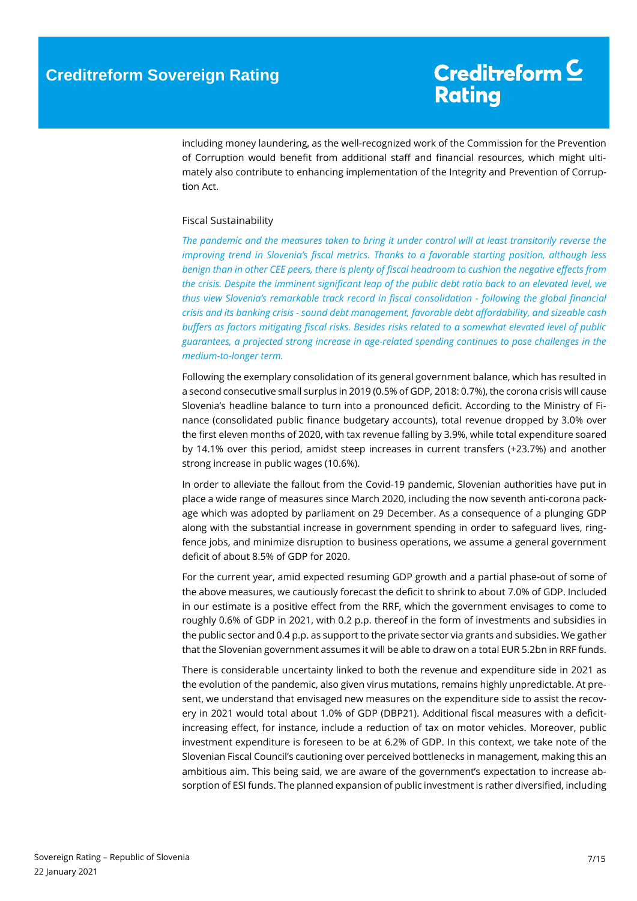including money laundering, as the well-recognized work of the Commission for the Prevention of Corruption would benefit from additional staff and financial resources, which might ultimately also contribute to enhancing implementation of the Integrity and Prevention of Corruption Act.

#### <span id="page-6-0"></span>Fiscal Sustainability

*The pandemic and the measures taken to bring it under control will at least transitorily reverse the improving trend in Slovenia's fiscal metrics. Thanks to a favorable starting position, although less benign than in other CEE peers, there is plenty of fiscal headroom to cushion the negative effects from the crisis. Despite the imminent significant leap of the public debt ratio back to an elevated level, we thus view Slovenia's remarkable track record in fiscal consolidation - following the global financial crisis and its banking crisis - sound debt management, favorable debt affordability, and sizeable cash buffers as factors mitigating fiscal risks. Besides risks related to a somewhat elevated level of public guarantees, a projected strong increase in age-related spending continues to pose challenges in the medium-to-longer term.*

Following the exemplary consolidation of its general government balance, which has resulted in a second consecutive small surplus in 2019 (0.5% of GDP, 2018: 0.7%), the corona crisis will cause Slovenia's headline balance to turn into a pronounced deficit. According to the Ministry of Finance (consolidated public finance budgetary accounts), total revenue dropped by 3.0% over the first eleven months of 2020, with tax revenue falling by 3.9%, while total expenditure soared by 14.1% over this period, amidst steep increases in current transfers (+23.7%) and another strong increase in public wages (10.6%).

In order to alleviate the fallout from the Covid-19 pandemic, Slovenian authorities have put in place a wide range of measures since March 2020, including the now seventh anti-corona package which was adopted by parliament on 29 December. As a consequence of a plunging GDP along with the substantial increase in government spending in order to safeguard lives, ringfence jobs, and minimize disruption to business operations, we assume a general government deficit of about 8.5% of GDP for 2020.

For the current year, amid expected resuming GDP growth and a partial phase-out of some of the above measures, we cautiously forecast the deficit to shrink to about 7.0% of GDP. Included in our estimate is a positive effect from the RRF, which the government envisages to come to roughly 0.6% of GDP in 2021, with 0.2 p.p. thereof in the form of investments and subsidies in the public sector and 0.4 p.p. as support to the private sector via grants and subsidies. We gather that the Slovenian government assumes it will be able to draw on a total EUR 5.2bn in RRF funds.

There is considerable uncertainty linked to both the revenue and expenditure side in 2021 as the evolution of the pandemic, also given virus mutations, remains highly unpredictable. At present, we understand that envisaged new measures on the expenditure side to assist the recovery in 2021 would total about 1.0% of GDP (DBP21). Additional fiscal measures with a deficitincreasing effect, for instance, include a reduction of tax on motor vehicles. Moreover, public investment expenditure is foreseen to be at 6.2% of GDP. In this context, we take note of the Slovenian Fiscal Council's cautioning over perceived bottlenecks in management, making this an ambitious aim. This being said, we are aware of the government's expectation to increase absorption of ESI funds. The planned expansion of public investment is rather diversified, including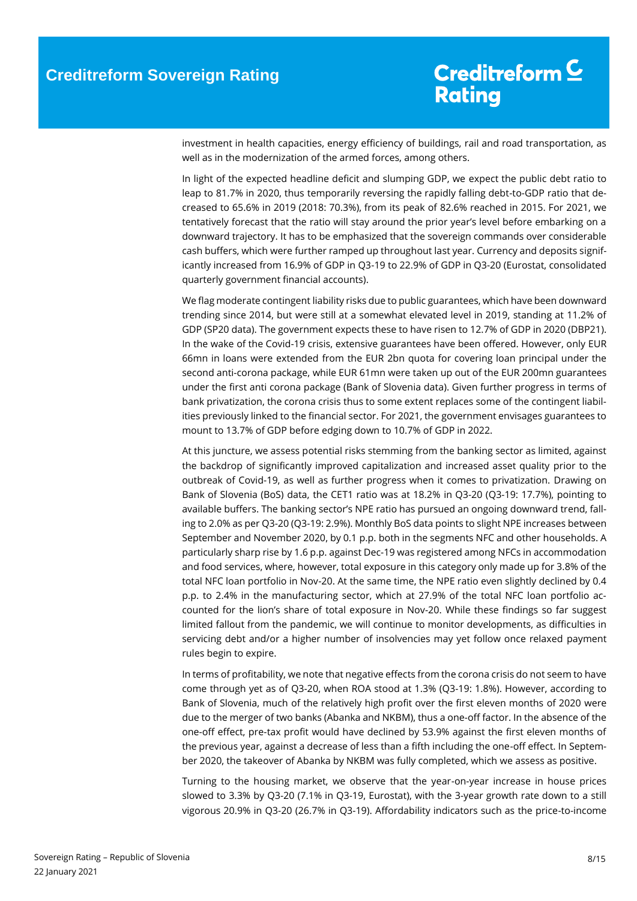investment in health capacities, energy efficiency of buildings, rail and road transportation, as well as in the modernization of the armed forces, among others.

In light of the expected headline deficit and slumping GDP, we expect the public debt ratio to leap to 81.7% in 2020, thus temporarily reversing the rapidly falling debt-to-GDP ratio that decreased to 65.6% in 2019 (2018: 70.3%), from its peak of 82.6% reached in 2015. For 2021, we tentatively forecast that the ratio will stay around the prior year's level before embarking on a downward trajectory. It has to be emphasized that the sovereign commands over considerable cash buffers, which were further ramped up throughout last year. Currency and deposits significantly increased from 16.9% of GDP in Q3-19 to 22.9% of GDP in Q3-20 (Eurostat, consolidated quarterly government financial accounts).

We flag moderate contingent liability risks due to public guarantees, which have been downward trending since 2014, but were still at a somewhat elevated level in 2019, standing at 11.2% of GDP (SP20 data). The government expects these to have risen to 12.7% of GDP in 2020 (DBP21). In the wake of the Covid-19 crisis, extensive guarantees have been offered. However, only EUR 66mn in loans were extended from the EUR 2bn quota for covering loan principal under the second anti-corona package, while EUR 61mn were taken up out of the EUR 200mn guarantees under the first anti corona package (Bank of Slovenia data). Given further progress in terms of bank privatization, the corona crisis thus to some extent replaces some of the contingent liabilities previously linked to the financial sector. For 2021, the government envisages guarantees to mount to 13.7% of GDP before edging down to 10.7% of GDP in 2022.

At this juncture, we assess potential risks stemming from the banking sector as limited, against the backdrop of significantly improved capitalization and increased asset quality prior to the outbreak of Covid-19, as well as further progress when it comes to privatization. Drawing on Bank of Slovenia (BoS) data, the CET1 ratio was at 18.2% in Q3-20 (Q3-19: 17.7%), pointing to available buffers. The banking sector's NPE ratio has pursued an ongoing downward trend, falling to 2.0% as per Q3-20 (Q3-19: 2.9%). Monthly BoS data points to slight NPE increases between September and November 2020, by 0.1 p.p. both in the segments NFC and other households. A particularly sharp rise by 1.6 p.p. against Dec-19 was registered among NFCs in accommodation and food services, where, however, total exposure in this category only made up for 3.8% of the total NFC loan portfolio in Nov-20. At the same time, the NPE ratio even slightly declined by 0.4 p.p. to 2.4% in the manufacturing sector, which at 27.9% of the total NFC loan portfolio accounted for the lion's share of total exposure in Nov-20. While these findings so far suggest limited fallout from the pandemic, we will continue to monitor developments, as difficulties in servicing debt and/or a higher number of insolvencies may yet follow once relaxed payment rules begin to expire.

In terms of profitability, we note that negative effects from the corona crisis do not seem to have come through yet as of Q3-20, when ROA stood at 1.3% (Q3-19: 1.8%). However, according to Bank of Slovenia, much of the relatively high profit over the first eleven months of 2020 were due to the merger of two banks (Abanka and NKBM), thus a one-off factor. In the absence of the one-off effect, pre-tax profit would have declined by 53.9% against the first eleven months of the previous year, against a decrease of less than a fifth including the one-off effect. In September 2020, the takeover of Abanka by NKBM was fully completed, which we assess as positive.

Turning to the housing market, we observe that the year-on-year increase in house prices slowed to 3.3% by Q3-20 (7.1% in Q3-19, Eurostat), with the 3-year growth rate down to a still vigorous 20.9% in Q3-20 (26.7% in Q3-19). Affordability indicators such as the price-to-income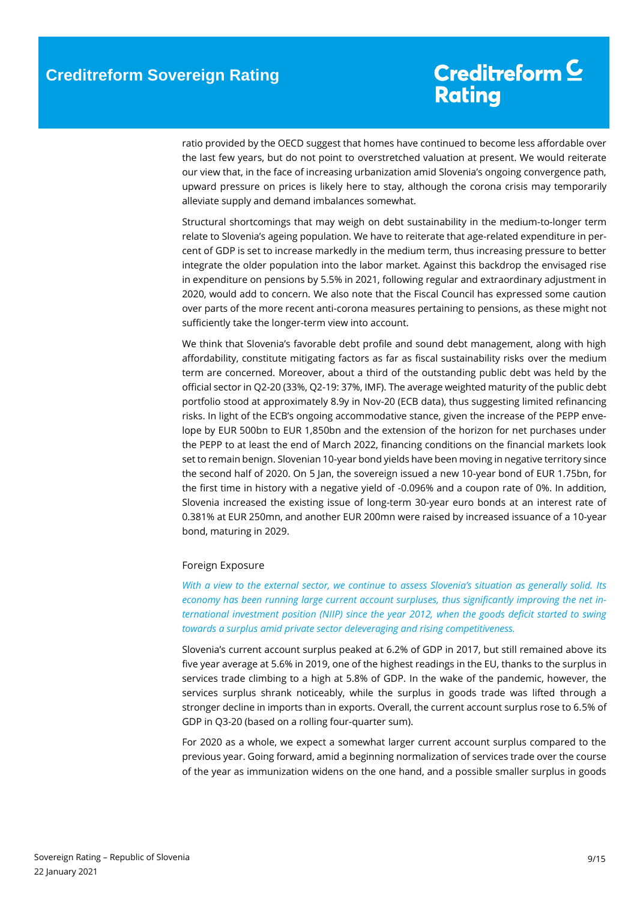ratio provided by the OECD suggest that homes have continued to become less affordable over the last few years, but do not point to overstretched valuation at present. We would reiterate our view that, in the face of increasing urbanization amid Slovenia's ongoing convergence path, upward pressure on prices is likely here to stay, although the corona crisis may temporarily alleviate supply and demand imbalances somewhat.

Structural shortcomings that may weigh on debt sustainability in the medium-to-longer term relate to Slovenia's ageing population. We have to reiterate that age-related expenditure in percent of GDP is set to increase markedly in the medium term, thus increasing pressure to better integrate the older population into the labor market. Against this backdrop the envisaged rise in expenditure on pensions by 5.5% in 2021, following regular and extraordinary adjustment in 2020, would add to concern. We also note that the Fiscal Council has expressed some caution over parts of the more recent anti-corona measures pertaining to pensions, as these might not sufficiently take the longer-term view into account.

We think that Slovenia's favorable debt profile and sound debt management, along with high affordability, constitute mitigating factors as far as fiscal sustainability risks over the medium term are concerned. Moreover, about a third of the outstanding public debt was held by the official sector in Q2-20 (33%, Q2-19: 37%, IMF). The average weighted maturity of the public debt portfolio stood at approximately 8.9y in Nov-20 (ECB data), thus suggesting limited refinancing risks. In light of the ECB's ongoing accommodative stance, given the increase of the PEPP envelope by EUR 500bn to EUR 1,850bn and the extension of the horizon for net purchases under the PEPP to at least the end of March 2022, financing conditions on the financial markets look set to remain benign. Slovenian 10-year bond yields have been moving in negative territory since the second half of 2020. On 5 Jan, the sovereign issued a new 10-year bond of EUR 1.75bn, for the first time in history with a negative yield of -0.096% and a coupon rate of 0%. In addition, Slovenia increased the existing issue of long-term 30-year euro bonds at an interest rate of 0.381% at EUR 250mn, and another EUR 200mn were raised by increased issuance of a 10-year bond, maturing in 2029.

#### <span id="page-8-0"></span>Foreign Exposure

*With a view to the external sector, we continue to assess Slovenia's situation as generally solid. Its economy has been running large current account surpluses, thus significantly improving the net international investment position (NIIP) since the year 2012, when the goods deficit started to swing towards a surplus amid private sector deleveraging and rising competitiveness.* 

Slovenia's current account surplus peaked at 6.2% of GDP in 2017, but still remained above its five year average at 5.6% in 2019, one of the highest readings in the EU, thanks to the surplus in services trade climbing to a high at 5.8% of GDP. In the wake of the pandemic, however, the services surplus shrank noticeably, while the surplus in goods trade was lifted through a stronger decline in imports than in exports. Overall, the current account surplus rose to 6.5% of GDP in Q3-20 (based on a rolling four-quarter sum).

For 2020 as a whole, we expect a somewhat larger current account surplus compared to the previous year. Going forward, amid a beginning normalization of services trade over the course of the year as immunization widens on the one hand, and a possible smaller surplus in goods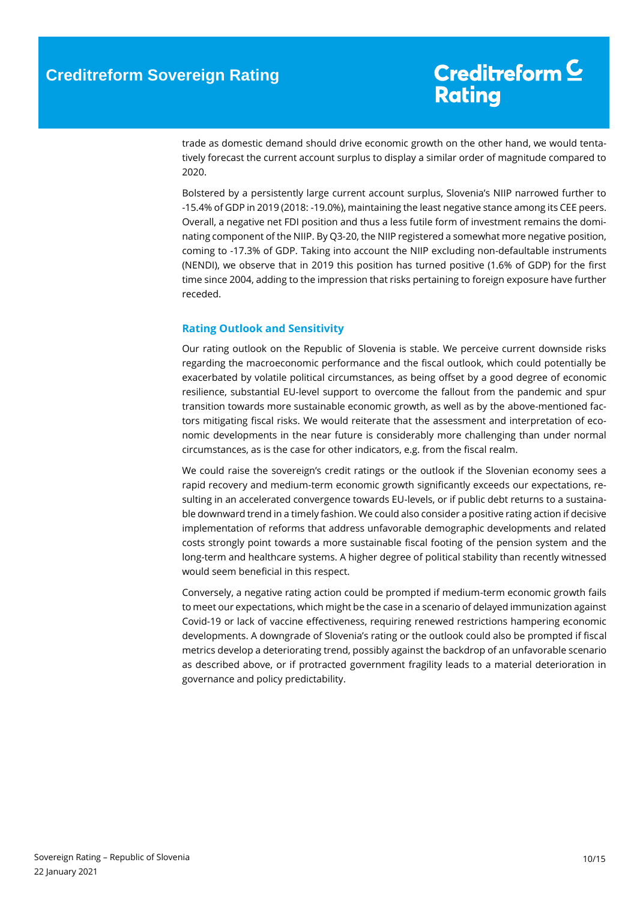trade as domestic demand should drive economic growth on the other hand, we would tentatively forecast the current account surplus to display a similar order of magnitude compared to 2020.

Bolstered by a persistently large current account surplus, Slovenia's NIIP narrowed further to -15.4% of GDP in 2019 (2018: -19.0%), maintaining the least negative stance among its CEE peers. Overall, a negative net FDI position and thus a less futile form of investment remains the dominating component of the NIIP. By Q3-20, the NIIP registered a somewhat more negative position, coming to -17.3% of GDP. Taking into account the NIIP excluding non-defaultable instruments (NENDI), we observe that in 2019 this position has turned positive (1.6% of GDP) for the first time since 2004, adding to the impression that risks pertaining to foreign exposure have further receded.

#### <span id="page-9-0"></span>**Rating Outlook and Sensitivity**

Our rating outlook on the Republic of Slovenia is stable. We perceive current downside risks regarding the macroeconomic performance and the fiscal outlook, which could potentially be exacerbated by volatile political circumstances, as being offset by a good degree of economic resilience, substantial EU-level support to overcome the fallout from the pandemic and spur transition towards more sustainable economic growth, as well as by the above-mentioned factors mitigating fiscal risks. We would reiterate that the assessment and interpretation of economic developments in the near future is considerably more challenging than under normal circumstances, as is the case for other indicators, e.g. from the fiscal realm.

We could raise the sovereign's credit ratings or the outlook if the Slovenian economy sees a rapid recovery and medium-term economic growth significantly exceeds our expectations, resulting in an accelerated convergence towards EU-levels, or if public debt returns to a sustainable downward trend in a timely fashion. We could also consider a positive rating action if decisive implementation of reforms that address unfavorable demographic developments and related costs strongly point towards a more sustainable fiscal footing of the pension system and the long-term and healthcare systems. A higher degree of political stability than recently witnessed would seem beneficial in this respect.

Conversely, a negative rating action could be prompted if medium-term economic growth fails to meet our expectations, which might be the case in a scenario of delayed immunization against Covid-19 or lack of vaccine effectiveness, requiring renewed restrictions hampering economic developments. A downgrade of Slovenia's rating or the outlook could also be prompted if fiscal metrics develop a deteriorating trend, possibly against the backdrop of an unfavorable scenario as described above, or if protracted government fragility leads to a material deterioration in governance and policy predictability.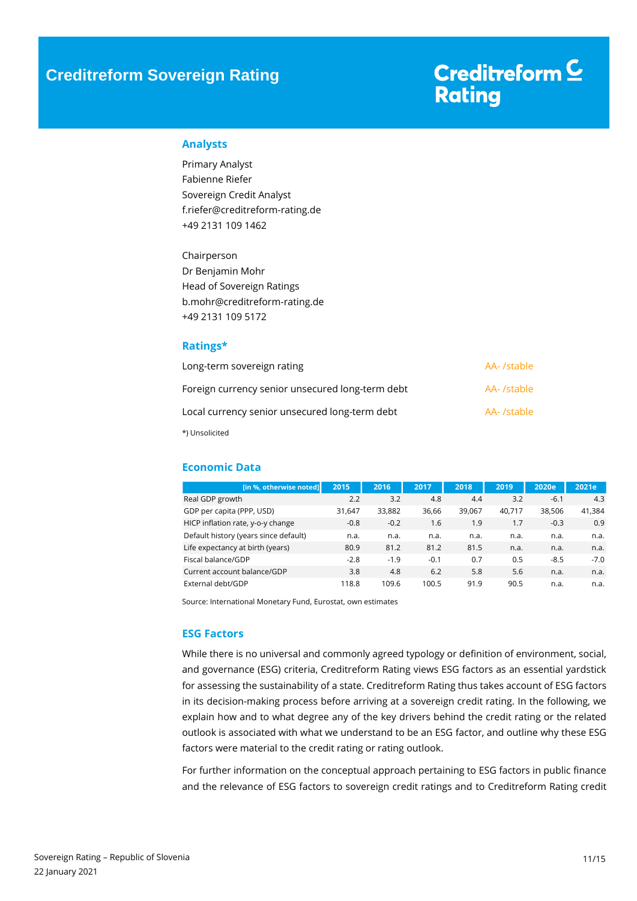### **Creditreform Sovereign Rating**

# Creditreform<sup>C</sup> **Rating**

#### <span id="page-10-0"></span>**Analysts**

Primary Analyst Fabienne Riefer Sovereign Credit Analyst f.riefer@creditreform-rating.de +49 2131 109 1462

Chairperson Dr Benjamin Mohr Head of Sovereign Ratings b.mohr@creditreform-rating.de +49 2131 109 5172

#### <span id="page-10-1"></span>**Ratings\***

| Long-term sovereign rating                       | AA- /stable |
|--------------------------------------------------|-------------|
| Foreign currency senior unsecured long-term debt | AA- /stable |
| Local currency senior unsecured long-term debt   | AA- /stable |
| *) Unsolicited                                   |             |

<span id="page-10-2"></span>**Economic Data**

| [in %, otherwise noted]               | 2015   | 2016   | 2017   | 2018   | 2019   | 2020e  | 2021e  |
|---------------------------------------|--------|--------|--------|--------|--------|--------|--------|
| Real GDP growth                       | 2.2    | 3.2    | 4.8    | 4.4    | 3.2    | $-6.1$ | 4.3    |
| GDP per capita (PPP, USD)             | 31.647 | 33.882 | 36,66  | 39.067 | 40.717 | 38.506 | 41,384 |
| HICP inflation rate, y-o-y change     | $-0.8$ | $-0.2$ | 1.6    | 1.9    | 1.7    | $-0.3$ | 0.9    |
| Default history (years since default) | n.a.   | n.a.   | n.a.   | n.a.   | n.a.   | n.a.   | n.a.   |
| Life expectancy at birth (years)      | 80.9   | 81.2   | 81.2   | 81.5   | n.a.   | n.a.   | n.a.   |
| Fiscal balance/GDP                    | $-2.8$ | $-1.9$ | $-0.1$ | 0.7    | 0.5    | $-8.5$ | $-7.0$ |
| Current account balance/GDP           | 3.8    | 4.8    | 6.2    | 5.8    | 5.6    | n.a.   | n.a.   |
| External debt/GDP                     | 118.8  | 109.6  | 100.5  | 91.9   | 90.5   | n.a.   | n.a.   |

Source: International Monetary Fund, Eurostat, own estimates

#### <span id="page-10-3"></span>**ESG Factors**

While there is no universal and commonly agreed typology or definition of environment, social, and governance (ESG) criteria, Creditreform Rating views ESG factors as an essential yardstick for assessing the sustainability of a state. Creditreform Rating thus takes account of ESG factors in its decision-making process before arriving at a sovereign credit rating. In the following, we explain how and to what degree any of the key drivers behind the credit rating or the related outlook is associated with what we understand to be an ESG factor, and outline why these ESG factors were material to the credit rating or rating outlook.

For further information on the conceptual approach pertaining to ESG factors in public finance and the relevance of ESG factors to sovereign credit ratings and to Creditreform Rating credit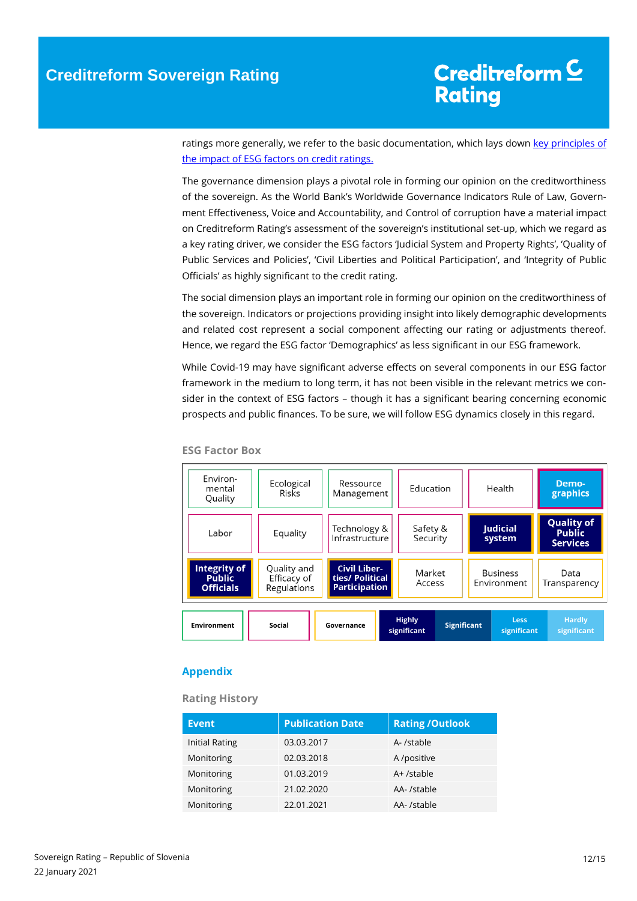ratings more generally, we refer to the basic documentation, which lays down key principles of [the impact of ESG factors on credit ratings.](https://www.creditreform-rating.de/en/about-us/regulatory-requirements.html?file=files/content/downloads/Externes%20Rating/Regulatorische%20Anforderungen/EN/Ratingmethodiken%20EN/The%20Impact%20of%20ESG%20Factors%20on%20Credit%20Ratings.pdf)

The governance dimension plays a pivotal role in forming our opinion on the creditworthiness of the sovereign. As the World Bank's Worldwide Governance Indicators Rule of Law, Government Effectiveness, Voice and Accountability, and Control of corruption have a material impact on Creditreform Rating's assessment of the sovereign's institutional set-up, which we regard as a key rating driver, we consider the ESG factors 'Judicial System and Property Rights', 'Quality of Public Services and Policies', 'Civil Liberties and Political Participation', and 'Integrity of Public Officials' as highly significant to the credit rating.

The social dimension plays an important role in forming our opinion on the creditworthiness of the sovereign. Indicators or projections providing insight into likely demographic developments and related cost represent a social component affecting our rating or adjustments thereof. Hence, we regard the ESG factor 'Demographics' as less significant in our ESG framework.

While Covid-19 may have significant adverse effects on several components in our ESG factor framework in the medium to long term, it has not been visible in the relevant metrics we consider in the context of ESG factors – though it has a significant bearing concerning economic prospects and public finances. To be sure, we will follow ESG dynamics closely in this regard.

| Environ-<br>mental<br>Quality                     | Ecological<br>Risks                       | Ressource<br>Education<br>Management                           |                                                   |                    | Health                                                | Demo-<br>graphics            |
|---------------------------------------------------|-------------------------------------------|----------------------------------------------------------------|---------------------------------------------------|--------------------|-------------------------------------------------------|------------------------------|
| Labor                                             | Equality                                  | Technology &<br>Infrastructure                                 | <b>Judicial</b><br>Safety &<br>Security<br>system |                    | <b>Quality of</b><br><b>Public</b><br><b>Services</b> |                              |
| Integrity of<br><b>Public</b><br><b>Officials</b> | Quality and<br>Efficacy of<br>Regulations | <b>Civil Liber-</b><br>ties/ Political<br><b>Participation</b> | Market<br>Access                                  |                    | <b>Business</b><br>Environment                        | Data<br>Transparency         |
| <b>Environment</b>                                | Social                                    | Governance                                                     | <b>Highly</b><br>significant                      | <b>Significant</b> | <b>Less</b><br>significant                            | <b>Hardly</b><br>significant |

**ESG Factor Box**

#### <span id="page-11-0"></span>**Appendix**

**Rating History**

| <b>Event</b>   | <b>Publication Date</b> | <b>Rating /Outlook</b> |
|----------------|-------------------------|------------------------|
| Initial Rating | 03.03.2017              | A- /stable             |
| Monitoring     | 02.03.2018              | A /positive            |
| Monitoring     | 01.03.2019              | A+ /stable             |
| Monitoring     | 21.02.2020              | AA-/stable             |
| Monitoring     | 22.01.2021              | AA- /stable            |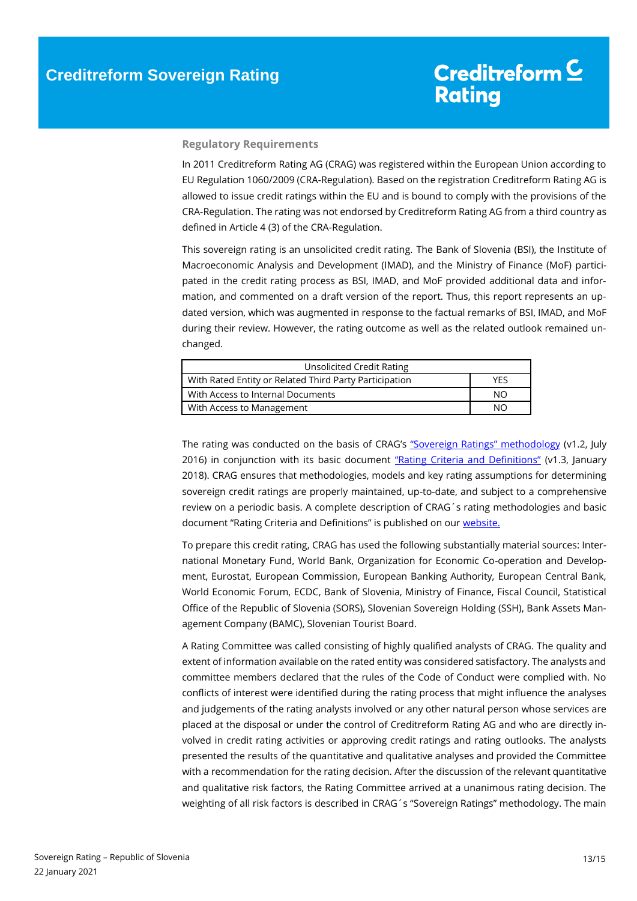#### **Regulatory Requirements**

In 2011 Creditreform Rating AG (CRAG) was registered within the European Union according to EU Regulation 1060/2009 (CRA-Regulation). Based on the registration Creditreform Rating AG is allowed to issue credit ratings within the EU and is bound to comply with the provisions of the CRA-Regulation. The rating was not endorsed by Creditreform Rating AG from a third country as defined in Article 4 (3) of the CRA-Regulation.

This sovereign rating is an unsolicited credit rating. The Bank of Slovenia (BSI), the Institute of Macroeconomic Analysis and Development (IMAD), and the Ministry of Finance (MoF) participated in the credit rating process as BSI, IMAD, and MoF provided additional data and information, and commented on a draft version of the report. Thus, this report represents an updated version, which was augmented in response to the factual remarks of BSI, IMAD, and MoF during their review. However, the rating outcome as well as the related outlook remained unchanged.

| Unsolicited Credit Rating                              |            |  |  |  |
|--------------------------------------------------------|------------|--|--|--|
| With Rated Entity or Related Third Party Participation | <b>YFS</b> |  |  |  |
| With Access to Internal Documents                      | NΟ         |  |  |  |
| With Access to Management                              | NΟ         |  |  |  |

The rating was conducted on the basis of CRAG's ["Sovereign Ratings" methodology](https://www.creditreform-rating.de/en/about-us/regulatory-requirements.html?file=files/content/downloads/Externes%20Rating/Regulatorische%20Anforderungen/EN/Ratingmethodiken%20EN/Rating%20Methodology%20Sovereign%20Ratings.pdf) (v1.2, July 2016) in conjunction with its basic document ["Rating Criteria and Definitions"](https://www.creditreform-rating.de/en/about-us/regulatory-requirements.html?file=files/content/downloads/Externes%20Rating/Regulatorische%20Anforderungen/EN/Ratingmethodiken%20EN/CRAG%20Rating%20Criteria%20and%20Definitions.pdf) (v1.3, January 2018). CRAG ensures that methodologies, models and key rating assumptions for determining sovereign credit ratings are properly maintained, up-to-date, and subject to a comprehensive review on a periodic basis. A complete description of CRAG´s rating methodologies and basic document "Rating Criteria and Definitions" is published on our [website.](https://www.creditreform-rating.de/en/about-us/regulatory-requirements.html)

To prepare this credit rating, CRAG has used the following substantially material sources: International Monetary Fund, World Bank, Organization for Economic Co-operation and Development, Eurostat, European Commission, European Banking Authority, European Central Bank, World Economic Forum, ECDC, Bank of Slovenia, Ministry of Finance, Fiscal Council, Statistical Office of the Republic of Slovenia (SORS), Slovenian Sovereign Holding (SSH), Bank Assets Management Company (BAMC), Slovenian Tourist Board.

A Rating Committee was called consisting of highly qualified analysts of CRAG. The quality and extent of information available on the rated entity was considered satisfactory. The analysts and committee members declared that the rules of the Code of Conduct were complied with. No conflicts of interest were identified during the rating process that might influence the analyses and judgements of the rating analysts involved or any other natural person whose services are placed at the disposal or under the control of Creditreform Rating AG and who are directly involved in credit rating activities or approving credit ratings and rating outlooks. The analysts presented the results of the quantitative and qualitative analyses and provided the Committee with a recommendation for the rating decision. After the discussion of the relevant quantitative and qualitative risk factors, the Rating Committee arrived at a unanimous rating decision. The weighting of all risk factors is described in CRAG´s "Sovereign Ratings" methodology. The main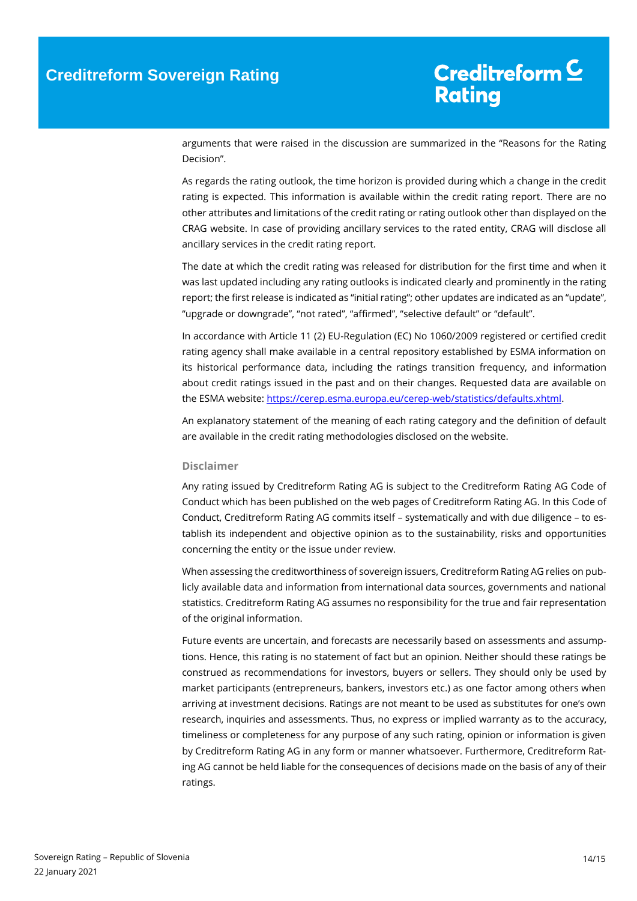arguments that were raised in the discussion are summarized in the "Reasons for the Rating Decision".

As regards the rating outlook, the time horizon is provided during which a change in the credit rating is expected. This information is available within the credit rating report. There are no other attributes and limitations of the credit rating or rating outlook other than displayed on the CRAG website. In case of providing ancillary services to the rated entity, CRAG will disclose all ancillary services in the credit rating report.

The date at which the credit rating was released for distribution for the first time and when it was last updated including any rating outlooks is indicated clearly and prominently in the rating report; the first release is indicated as "initial rating"; other updates are indicated as an "update", "upgrade or downgrade", "not rated", "affirmed", "selective default" or "default".

In accordance with Article 11 (2) EU-Regulation (EC) No 1060/2009 registered or certified credit rating agency shall make available in a central repository established by ESMA information on its historical performance data, including the ratings transition frequency, and information about credit ratings issued in the past and on their changes. Requested data are available on the ESMA website[: https://cerep.esma.europa.eu/cerep-web/statistics/defaults.xhtml.](https://cerep.esma.europa.eu/cerep-web/statistics/defaults.xhtml)

An explanatory statement of the meaning of each rating category and the definition of default are available in the credit rating methodologies disclosed on the website.

#### **Disclaimer**

Any rating issued by Creditreform Rating AG is subject to the Creditreform Rating AG Code of Conduct which has been published on the web pages of Creditreform Rating AG. In this Code of Conduct, Creditreform Rating AG commits itself – systematically and with due diligence – to establish its independent and objective opinion as to the sustainability, risks and opportunities concerning the entity or the issue under review.

When assessing the creditworthiness of sovereign issuers, Creditreform Rating AG relies on publicly available data and information from international data sources, governments and national statistics. Creditreform Rating AG assumes no responsibility for the true and fair representation of the original information.

Future events are uncertain, and forecasts are necessarily based on assessments and assumptions. Hence, this rating is no statement of fact but an opinion. Neither should these ratings be construed as recommendations for investors, buyers or sellers. They should only be used by market participants (entrepreneurs, bankers, investors etc.) as one factor among others when arriving at investment decisions. Ratings are not meant to be used as substitutes for one's own research, inquiries and assessments. Thus, no express or implied warranty as to the accuracy, timeliness or completeness for any purpose of any such rating, opinion or information is given by Creditreform Rating AG in any form or manner whatsoever. Furthermore, Creditreform Rating AG cannot be held liable for the consequences of decisions made on the basis of any of their ratings.